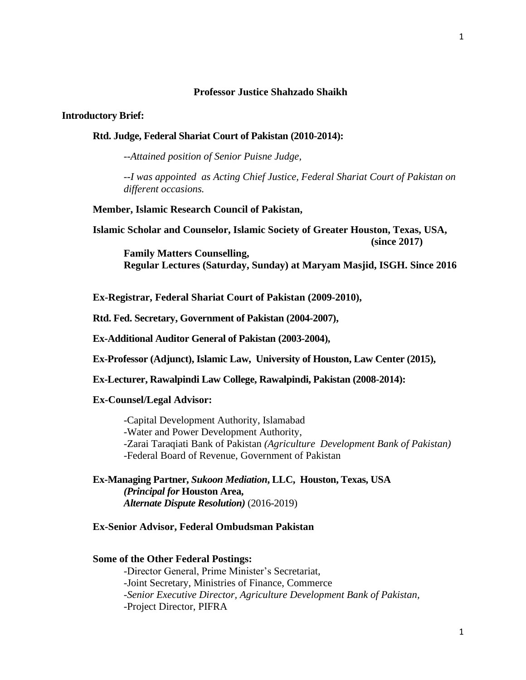## **Professor Justice Shahzado Shaikh**

## **Introductory Brief:**

### **Rtd. Judge, Federal Shariat Court of Pakistan (2010-2014):**

*--Attained position of Senior Puisne Judge,* 

*--I was appointed as Acting Chief Justice, Federal Shariat Court of Pakistan on different occasions.* 

**Member, Islamic Research Council of Pakistan,**

**Islamic Scholar and Counselor, Islamic Society of Greater Houston, Texas, USA, (since 2017) Family Matters Counselling, Regular Lectures (Saturday, Sunday) at Maryam Masjid, ISGH. Since 2016** 

**Ex-Registrar, Federal Shariat Court of Pakistan (2009-2010),** 

**Rtd. Fed. Secretary, Government of Pakistan (2004-2007),**

**Ex-Additional Auditor General of Pakistan (2003-2004),**

**Ex-Professor (Adjunct), Islamic Law, University of Houston, Law Center (2015),** 

**Ex-Lecturer, Rawalpindi Law College, Rawalpindi, Pakistan (2008-2014):**

**Ex-Counsel/Legal Advisor:**

-Capital Development Authority, Islamabad -Water and Power Development Authority, -Zarai Taraqiati Bank of Pakistan *(Agriculture Development Bank of Pakistan)* -Federal Board of Revenue, Government of Pakistan

**Ex-Managing Partner,** *Sukoon Mediation***, LLC, Houston, Texas, USA** *(Principal for* **Houston Area,**  *Alternate Dispute Resolution)* (2016-2019)

# **Ex-Senior Advisor, Federal Ombudsman Pakistan**

### **Some of the Other Federal Postings:**

-Director General, Prime Minister's Secretariat, -Joint Secretary, Ministries of Finance, Commerce *-Senior Executive Director, Agriculture Development Bank of Pakistan,* -Project Director, PIFRA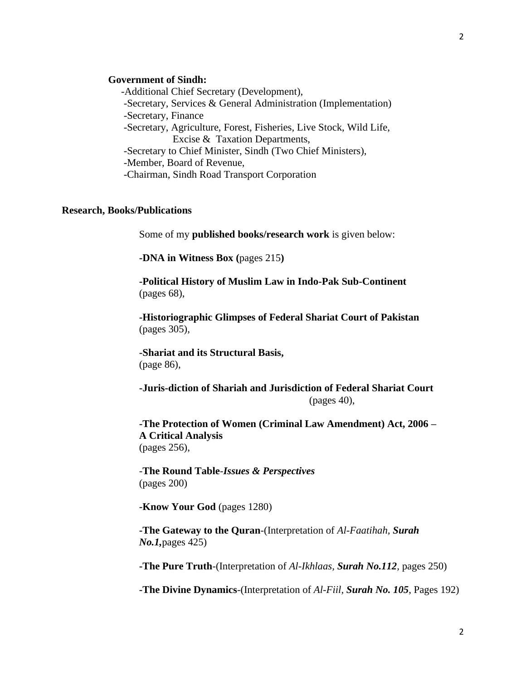# **Government of Sindh:**

 -Additional Chief Secretary (Development), -Secretary, Services & General Administration (Implementation) -Secretary, Finance -Secretary, Agriculture, Forest, Fisheries, Live Stock, Wild Life, Excise & Taxation Departments, -Secretary to Chief Minister, Sindh (Two Chief Ministers), -Member, Board of Revenue, -Chairman, Sindh Road Transport Corporation

# **Research, Books/Publications**

Some of my **published books/research work** is given below:

**-DNA in Witness Box (**pages 215**)**

**-Political History of Muslim Law in Indo-Pak Sub-Continent**  (pages 68),

**-Historiographic Glimpses of Federal Shariat Court of Pakistan**  (pages 305),

**-Shariat and its Structural Basis,** (page 86),

**-Juris-diction of Shariah and Jurisdiction of Federal Shariat Court**  (pages 40),

**-The Protection of Women (Criminal Law Amendment) Act, 2006 – A Critical Analysis**  (pages 256),

-**The Round Table**-*Issues & Perspectives* (pages 200)

**-Know Your God** (pages 1280)

**-The Gateway to the Quran**-(Interpretation of *Al-Faatihah, Surah No.1,*pages 425)

**-The Pure Truth**-(Interpretation of *Al-Ikhlaas, Surah No.112,* pages 250)

**-The Divine Dynamics**-(Interpretation of *Al-Fiil, Surah No. 105*, Pages 192)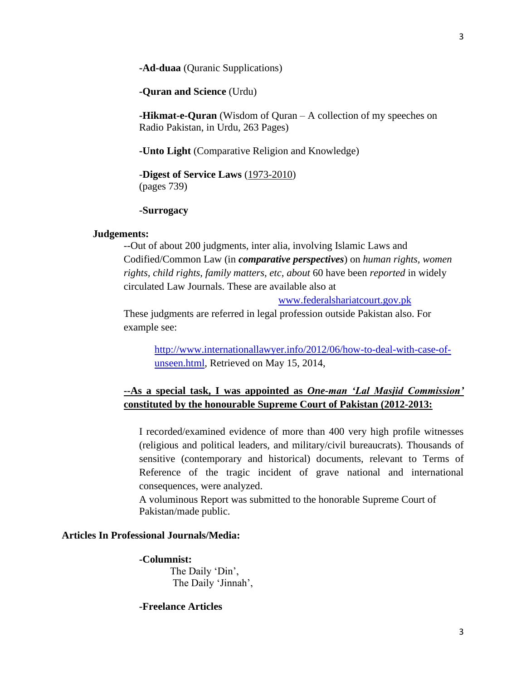**-Ad-duaa** (Quranic Supplications)

**-Quran and Science** (Urdu)

**-Hikmat-e-Quran** (Wisdom of Quran – A collection of my speeches on Radio Pakistan, in Urdu, 263 Pages)

**-Unto Light** (Comparative Religion and Knowledge)

-**Digest of Service Laws** (1973-2010) (pages 739)

## **-Surrogacy**

### **Judgements:**

*--*Out of about 200 judgments, inter alia, involving Islamic Laws and Codified/Common Law (in *comparative perspectives*) on *human rights, women rights, child rights, family matters, etc, about* 60 have been *reported* in widely circulated Law Journals. These are available also at

[www.federalshariatcourt.gov.pk](http://www.federalshariatcourt.gov.pk/)

These judgments are referred in legal profession outside Pakistan also. For example see:

[http://www.internationallawyer.info/2012/06/how-to-deal-with-case-of](http://www.internationallawyer.info/2012/06/how-to-deal-with-case-of-unseen.html)[unseen.html,](http://www.internationallawyer.info/2012/06/how-to-deal-with-case-of-unseen.html) Retrieved on May 15, 2014,

# **--As a special task, I was appointed as** *One-man 'Lal Masjid Commission'* **constituted by the honourable Supreme Court of Pakistan (2012-2013:**

I recorded/examined evidence of more than 400 very high profile witnesses (religious and political leaders, and military/civil bureaucrats). Thousands of sensitive (contemporary and historical) documents, relevant to Terms of Reference of the tragic incident of grave national and international consequences, were analyzed.

A voluminous Report was submitted to the honorable Supreme Court of Pakistan/made public.

# **Articles In Professional Journals/Media:**

## **-Columnist:**

 The Daily 'Din', The Daily 'Jinnah',

**-Freelance Articles**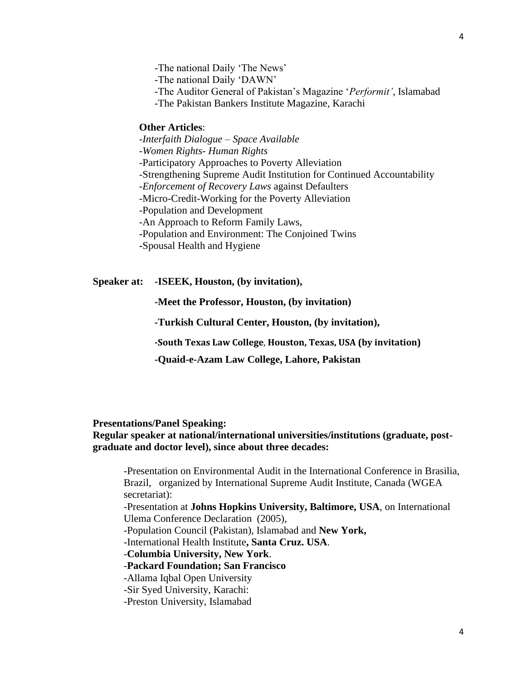-The national Daily 'The News' -The national Daily 'DAWN' -The Auditor General of Pakistan's Magazine '*Performit'*, Islamabad -The Pakistan Bankers Institute Magazine, Karachi

# **Other Articles**:

*-Interfaith Dialogue – Space Available -Women Rights- Human Rights* -Participatory Approaches to Poverty Alleviation -Strengthening Supreme Audit Institution for Continued Accountability *-Enforcement of Recovery Laws* against Defaulters -Micro-Credit-Working for the Poverty Alleviation -Population and Development -An Approach to Reform Family Laws, **-**[Population and Environment: The Conjoined Twins](http://r.search.yahoo.com/_ylt=A0SO8xLbjHVTXzwAZB5XNyoA;_ylu=X3oDMTE0M3A1YnA2BHNlYwNzcgRwb3MDNzkEY29sbwNncTEEdnRpZANWSVAyODBfMQ--/RV=2/RE=1400241499/RO=10/RU=http%3a%2f%2fwww.pap.org.pk%2fPopulation%2520and%2520Environment.doc/RK=0/RS=2nG5Z3zmEduaYXVFnOyG3tXVEeM-) **-**Spousal Health and Hygiene

**Speaker at: -ISEEK, Houston, (by invitation),**

**-Meet the Professor, Houston, (by invitation)**

**-Turkish Cultural Center, Houston, (by invitation),** 

**-South Texas Law College**, **Houston, Texas, USA (by invitation)**

**-Quaid-e-Azam Law College, Lahore, Pakistan**

**Presentations/Panel Speaking:**

**Regular speaker at national/international universities/institutions (graduate, postgraduate and doctor level), since about three decades:**

-Presentation on Environmental Audit in the International Conference in Brasilia, Brazil, organized by International Supreme Audit Institute, Canada (WGEA secretariat):

-Presentation at **Johns Hopkins University, Baltimore, USA**, on International Ulema Conference Declaration (2005),

-Population Council (Pakistan), Islamabad and **New York,**

-International Health Institute**, Santa Cruz. USA**.

-**Columbia University, New York**.

# -**Packard Foundation; San Francisco**

-Allama Iqbal Open University

-Sir Syed University, Karachi:

-Preston University, Islamabad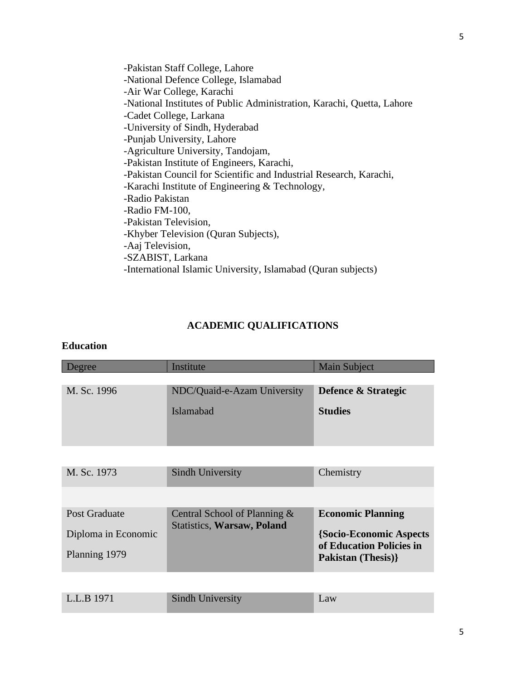-Pakistan Staff College, Lahore -National Defence College, Islamabad -Air War College, Karachi -National Institutes of Public Administration, Karachi, Quetta, Lahore -Cadet College, Larkana -University of Sindh, Hyderabad -Punjab University, Lahore -Agriculture University, Tandojam, -Pakistan Institute of Engineers, Karachi, -Pakistan Council for Scientific and Industrial Research, Karachi, -Karachi Institute of Engineering & Technology, -Radio Pakistan -Radio FM-100, -Pakistan Television, -Khyber Television (Quran Subjects), -Aaj Television, -SZABIST, Larkana -International Islamic University, Islamabad (Quran subjects)

# **ACADEMIC QUALIFICATIONS**

# **Education**

| Degree               | Institute                         | <b>Main Subject</b>            |
|----------------------|-----------------------------------|--------------------------------|
|                      |                                   |                                |
| M. Sc. 1996          | NDC/Quaid-e-Azam University       | <b>Defence &amp; Strategic</b> |
|                      |                                   |                                |
|                      | <b>Islamabad</b>                  | <b>Studies</b>                 |
|                      |                                   |                                |
|                      |                                   |                                |
| M. Sc. 1973          | <b>Sindh University</b>           | Chemistry                      |
|                      |                                   |                                |
| <b>Post Graduate</b> | Central School of Planning &      | <b>Economic Planning</b>       |
|                      | <b>Statistics, Warsaw, Poland</b> | {Socio-Economic Aspects        |
| Diploma in Economic  |                                   | of Education Policies in       |
| Planning 1979        |                                   | <b>Pakistan</b> (Thesis)}      |
|                      |                                   |                                |
|                      |                                   |                                |

| L.L.B 1971 | Sindh University | Law |
|------------|------------------|-----|
|            |                  |     |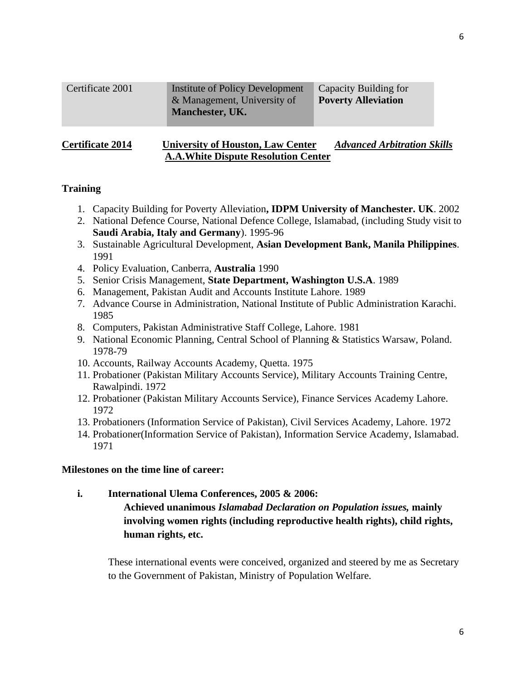| Certificate 2001 | Institute of Policy Development | Capacity Building for      |
|------------------|---------------------------------|----------------------------|
|                  | & Management, University of     | <b>Poverty Alleviation</b> |
|                  | <b>Manchester, UK.</b>          |                            |
|                  |                                 |                            |

# **Certificate 2014 University of Houston, Law Center** *Advanced Arbitration Skills*  **A.A.White Dispute Resolution Center**

# **Training**

- 1. Capacity Building for Poverty Alleviation**, IDPM University of Manchester. UK**. 2002
- 2. National Defence Course, National Defence College, Islamabad, (including Study visit to **Saudi Arabia, Italy and Germany**). 1995-96
- 3. Sustainable Agricultural Development, **Asian Development Bank, Manila Philippines**. 1991
- 4. Policy Evaluation, Canberra, **Australia** 1990
- 5. Senior Crisis Management, **State Department, Washington U.S.A**. 1989
- 6. Management, Pakistan Audit and Accounts Institute Lahore. 1989
- 7. Advance Course in Administration, National Institute of Public Administration Karachi. 1985
- 8. Computers, Pakistan Administrative Staff College, Lahore. 1981
- 9. National Economic Planning, Central School of Planning & Statistics Warsaw, Poland. 1978-79
- 10. Accounts, Railway Accounts Academy, Quetta. 1975
- 11. Probationer (Pakistan Military Accounts Service), Military Accounts Training Centre, Rawalpindi. 1972
- 12. Probationer (Pakistan Military Accounts Service), Finance Services Academy Lahore. 1972
- 13. Probationers (Information Service of Pakistan), Civil Services Academy, Lahore. 1972
- 14. Probationer(Information Service of Pakistan), Information Service Academy, Islamabad. 1971

# **Milestones on the time line of career:**

# **i. International Ulema Conferences, 2005 & 2006: Achieved unanimous** *Islamabad Declaration on Population issues,* **mainly involving women rights (including reproductive health rights), child rights, human rights, etc.**

These international events were conceived, organized and steered by me as Secretary to the Government of Pakistan, Ministry of Population Welfare.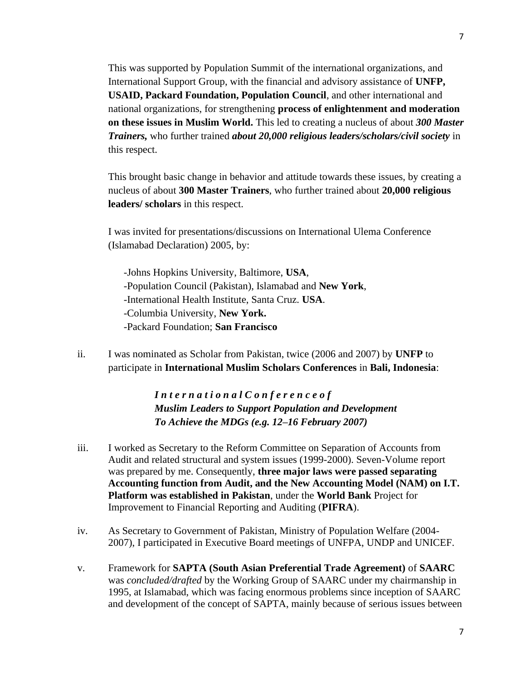This was supported by Population Summit of the international organizations, and International Support Group, with the financial and advisory assistance of **UNFP, USAID, Packard Foundation, Population Council**, and other international and national organizations, for strengthening **process of enlightenment and moderation on these issues in Muslim World.** This led to creating a nucleus of about *300 Master Trainers,* who further trained *about 20,000 religious leaders/scholars/civil society* in this respect.

This brought basic change in behavior and attitude towards these issues, by creating a nucleus of about **300 Master Trainers**, who further trained about **20,000 religious leaders/ scholars** in this respect.

I was invited for presentations/discussions on International Ulema Conference (Islamabad Declaration) 2005, by:

-Johns Hopkins University, Baltimore, **USA**, -Population Council (Pakistan), Islamabad and **New York**, -International Health Institute, Santa Cruz. **USA**. -Columbia University, **New York.** -Packard Foundation; **San Francisco**

ii. I was nominated as Scholar from Pakistan, twice (2006 and 2007) by **UNFP** to participate in **International Muslim Scholars Conferences** in **Bali, Indonesia**:

> *I n t e r n a t i o n a l C o n f e r e n c e o f Muslim Leaders to Support Population and Development To Achieve the MDGs (e.g. 12–16 February 2007)*

- iii. I worked as Secretary to the Reform Committee on Separation of Accounts from Audit and related structural and system issues (1999-2000). Seven-Volume report was prepared by me. Consequently, **three major laws were passed separating Accounting function from Audit, and the New Accounting Model (NAM) on I.T. Platform was established in Pakistan**, under the **World Bank** Project for Improvement to Financial Reporting and Auditing (**PIFRA**).
- iv. As Secretary to Government of Pakistan, Ministry of Population Welfare (2004- 2007), I participated in Executive Board meetings of UNFPA, UNDP and UNICEF.
- v. Framework for **SAPTA (South Asian Preferential Trade Agreement)** of **SAARC** was *concluded/drafted* by the Working Group of SAARC under my chairmanship in 1995, at Islamabad, which was facing enormous problems since inception of SAARC and development of the concept of SAPTA, mainly because of serious issues between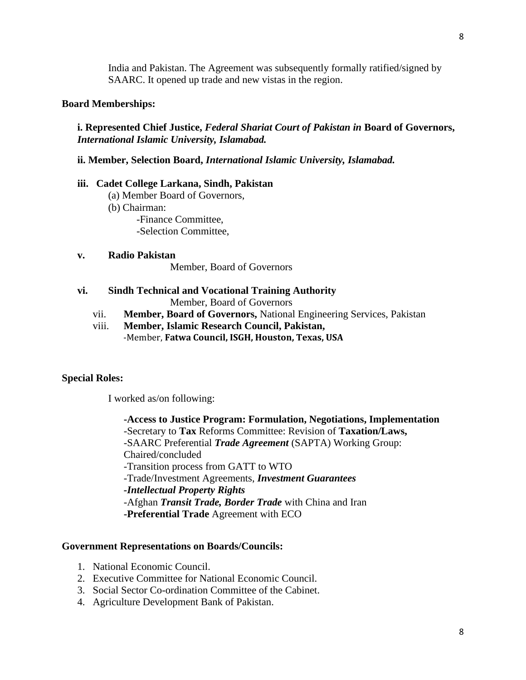India and Pakistan. The Agreement was subsequently formally ratified/signed by SAARC. It opened up trade and new vistas in the region.

### **Board Memberships:**

**i. Represented Chief Justice,** *Federal Shariat Court of Pakistan in* **Board of Governors,**  *International Islamic University, Islamabad.*

**ii. Member, Selection Board,** *International Islamic University, Islamabad.*

### **iii. Cadet College Larkana, Sindh, Pakistan**

- (a) Member Board of Governors,
- (b) Chairman: -Finance Committee, -Selection Committee,

## **v. Radio Pakistan**

Member, Board of Governors

# **vi. Sindh Technical and Vocational Training Authority**

Member, Board of Governors

- vii. **Member, Board of Governors,** National Engineering Services, Pakistan
- viii. **Member, Islamic Research Council, Pakistan,** -Member, **Fatwa Council, ISGH, Houston, Texas, USA**

### **Special Roles:**

I worked as/on following:

**-Access to Justice Program: Formulation, Negotiations, Implementation** -Secretary to **Tax** Reforms Committee: Revision of **Taxation/Laws,**  -SAARC Preferential *Trade Agreement* (SAPTA) Working Group: Chaired/concluded -Transition process from GATT to WTO -Trade/Investment Agreements, *Investment Guarantees -Intellectual Property Rights* -Afghan *Transit Trade, Border Trade* with China and Iran **-Preferential Trade** Agreement with ECO

### **Government Representations on Boards/Councils:**

- 1. National Economic Council.
- 2. Executive Committee for National Economic Council.
- 3. Social Sector Co-ordination Committee of the Cabinet.
- 4. Agriculture Development Bank of Pakistan.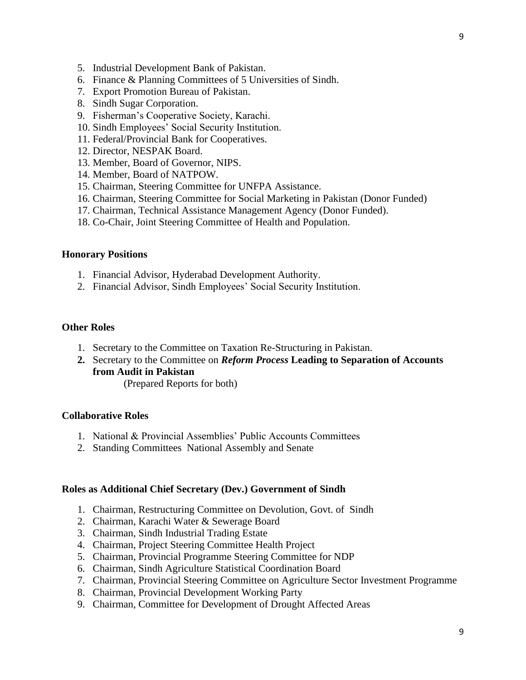9

- 5. Industrial Development Bank of Pakistan.
- 6. Finance & Planning Committees of 5 Universities of Sindh.
- 7. Export Promotion Bureau of Pakistan.
- 8. Sindh Sugar Corporation.
- 9. Fisherman's Cooperative Society, Karachi.
- 10. Sindh Employees' Social Security Institution.
- 11. Federal/Provincial Bank for Cooperatives.
- 12. Director, NESPAK Board.
- 13. Member, Board of Governor, NIPS.
- 14. Member, Board of NATPOW.
- 15. Chairman, Steering Committee for UNFPA Assistance.
- 16. Chairman, Steering Committee for Social Marketing in Pakistan (Donor Funded)
- 17. Chairman, Technical Assistance Management Agency (Donor Funded).
- 18. Co-Chair, Joint Steering Committee of Health and Population.

# **Honorary Positions**

- 1. Financial Advisor, Hyderabad Development Authority.
- 2. Financial Advisor, Sindh Employees' Social Security Institution.

# **Other Roles**

- 1. Secretary to the Committee on Taxation Re-Structuring in Pakistan.
- **2.** Secretary to the Committee on *Reform Process* **Leading to Separation of Accounts from Audit in Pakistan**

(Prepared Reports for both)

# **Collaborative Roles**

- 1. National & Provincial Assemblies' Public Accounts Committees
- 2. Standing Committees National Assembly and Senate

# **Roles as Additional Chief Secretary (Dev.) Government of Sindh**

- 1. Chairman, Restructuring Committee on Devolution, Govt. of Sindh
- 2. Chairman, Karachi Water & Sewerage Board
- 3. Chairman, Sindh Industrial Trading Estate
- 4. Chairman, Project Steering Committee Health Project
- 5. Chairman, Provincial Programme Steering Committee for NDP
- 6. Chairman, Sindh Agriculture Statistical Coordination Board
- 7. Chairman, Provincial Steering Committee on Agriculture Sector Investment Programme
- 8. Chairman, Provincial Development Working Party
- 9. Chairman, Committee for Development of Drought Affected Areas